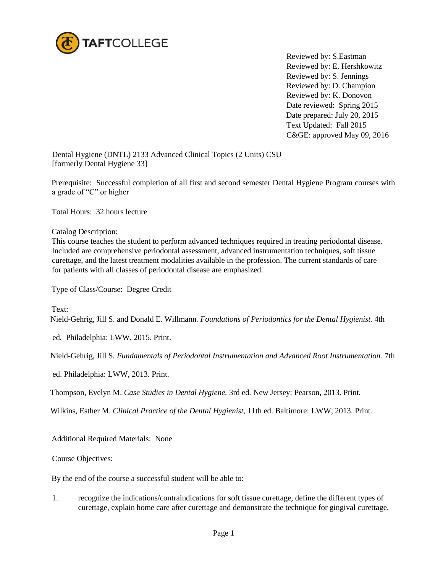

Reviewed by: S.Eastman Reviewed by: E. Hershkowitz Reviewed by: S. Jennings Reviewed by: D. Champion Reviewed by: K. Donovon Date reviewed: Spring 2015 Date prepared: July 20, 2015 Text Updated: Fall 2015 C&GE: approved May 09, 2016

Dental Hygiene (DNTL) 2133 Advanced Clinical Topics (2 Units) CSU [formerly Dental Hygiene 33]

Prerequisite: Successful completion of all first and second semester Dental Hygiene Program courses with a grade of "C" or higher

Total Hours: 32 hours lecture

Catalog Description:

This course teaches the student to perform advanced techniques required in treating periodontal disease. Included are comprehensive periodontal assessment, advanced instrumentation techniques, soft tissue curettage, and the latest treatment modalities available in the profession. The current standards of care for patients with all classes of periodontal disease are emphasized.

Type of Class/Course: Degree Credit

Text:

Nield-Gehrig, Jill S. and Donald E. Willmann*. Foundations of Periodontics for the Dental Hygienist.* 4th

ed*.* Philadelphia: LWW, 2015. Print.

Nield-Gehrig, Jill S*. Fundamentals of Periodontal Instrumentation and Advanced Root Instrumentation.* 7th

ed. Philadelphia: LWW, 2013. Print.

Thompson, Evelyn M. *Case Studies in Dental Hygiene.* 3rd ed*.* New Jersey: Pearson, 2013. Print*.*

Wilkins, Esther M*. Clinical Practice of the Dental Hygienist,* 11th ed. Baltimore: LWW, 2013. Print*.*

Additional Required Materials: None

Course Objectives:

By the end of the course a successful student will be able to:

1. recognize the indications/contraindications for soft tissue curettage, define the different types of curettage, explain home care after curettage and demonstrate the technique for gingival curettage,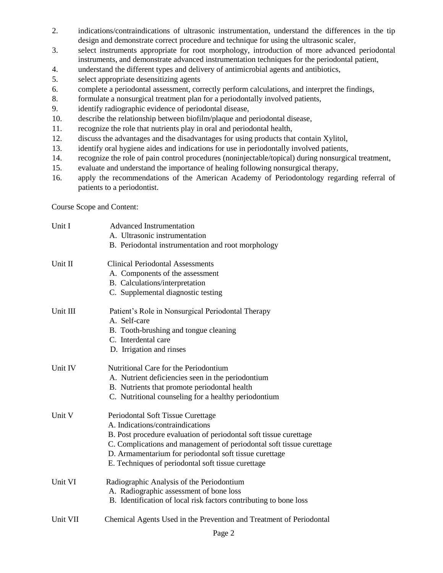- 2. indications/contraindications of ultrasonic instrumentation, understand the differences in the tip design and demonstrate correct procedure and technique for using the ultrasonic scaler,
- 3. select instruments appropriate for root morphology, introduction of more advanced periodontal instruments, and demonstrate advanced instrumentation techniques for the periodontal patient,
- 4. understand the different types and delivery of antimicrobial agents and antibiotics,
- 5. select appropriate desensitizing agents
- 6. complete a periodontal assessment, correctly perform calculations, and interpret the findings,
- 8. formulate a nonsurgical treatment plan for a periodontally involved patients,
- 9. identify radiographic evidence of periodontal disease,
- 10. describe the relationship between biofilm/plaque and periodontal disease,
- 11. recognize the role that nutrients play in oral and periodontal health,
- 12. discuss the advantages and the disadvantages for using products that contain Xylitol,
- 13. identify oral hygiene aides and indications for use in periodontally involved patients,
- 14. recognize the role of pain control procedures (noninjectable/topical) during nonsurgical treatment,
- 15. evaluate and understand the importance of healing following nonsurgical therapy,
- 16. apply the recommendations of the American Academy of Periodontology regarding referral of patients to a periodontist.

Course Scope and Content:

| Unit I   | <b>Advanced Instrumentation</b><br>A. Ultrasonic instrumentation<br>B. Periodontal instrumentation and root morphology                                                                                                                                                                                                             |
|----------|------------------------------------------------------------------------------------------------------------------------------------------------------------------------------------------------------------------------------------------------------------------------------------------------------------------------------------|
| Unit II  | <b>Clinical Periodontal Assessments</b><br>A. Components of the assessment<br>B. Calculations/interpretation<br>C. Supplemental diagnostic testing                                                                                                                                                                                 |
| Unit III | Patient's Role in Nonsurgical Periodontal Therapy<br>A. Self-care<br>B. Tooth-brushing and tongue cleaning<br>C. Interdental care<br>D. Irrigation and rinses                                                                                                                                                                      |
| Unit IV  | Nutritional Care for the Periodontium<br>A. Nutrient deficiencies seen in the periodontium<br>B. Nutrients that promote periodontal health<br>C. Nutritional counseling for a healthy periodontium                                                                                                                                 |
| Unit V   | Periodontal Soft Tissue Curettage<br>A. Indications/contraindications<br>B. Post procedure evaluation of periodontal soft tissue curettage<br>C. Complications and management of periodontal soft tissue curettage<br>D. Armamentarium for periodontal soft tissue curettage<br>E. Techniques of periodontal soft tissue curettage |
| Unit VI  | Radiographic Analysis of the Periodontium<br>A. Radiographic assessment of bone loss<br>B. Identification of local risk factors contributing to bone loss                                                                                                                                                                          |
| Unit VII | Chemical Agents Used in the Prevention and Treatment of Periodontal                                                                                                                                                                                                                                                                |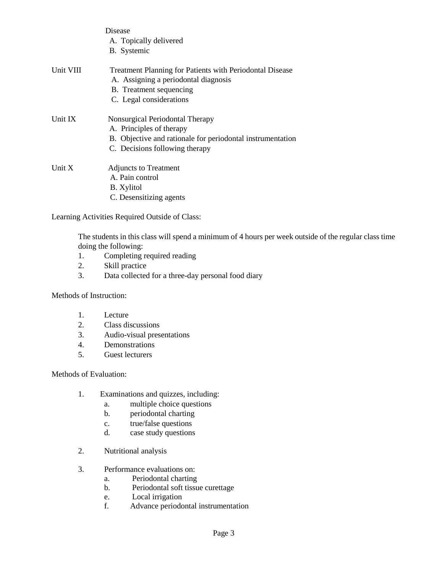|           | Disease<br>A. Topically delivered<br>B. Systemic                                                        |
|-----------|---------------------------------------------------------------------------------------------------------|
|           |                                                                                                         |
| Unit VIII | <b>Treatment Planning for Patients with Periodontal Disease</b><br>A. Assigning a periodontal diagnosis |
|           | <b>B.</b> Treatment sequencing                                                                          |
|           | C. Legal considerations                                                                                 |
| Unit IX   | Nonsurgical Periodontal Therapy                                                                         |
|           | A. Principles of therapy                                                                                |
|           | B. Objective and rationale for periodontal instrumentation                                              |
|           | C. Decisions following therapy                                                                          |
| Unit $X$  | <b>Adjuncts to Treatment</b>                                                                            |
|           | A. Pain control                                                                                         |
|           | B. Xylitol                                                                                              |
|           | C. Desensitizing agents                                                                                 |

Learning Activities Required Outside of Class:

The students in this class will spend a minimum of 4 hours per week outside of the regular class time doing the following:

- 1. Completing required reading
- 2. Skill practice
- 3. Data collected for a three-day personal food diary

Methods of Instruction:

- 1. Lecture
- 2. Class discussions
- 3. Audio-visual presentations
- 4. Demonstrations
- 5. Guest lecturers

Methods of Evaluation:

- 1. Examinations and quizzes, including:
	- a. multiple choice questions
	- b. periodontal charting
	- c. true/false questions
	- d. case study questions
- 2. Nutritional analysis
- 3. Performance evaluations on:
	- a. Periodontal charting
	- b. Periodontal soft tissue curettage
	- e. Local irrigation<br>f. Advance periodo
	- Advance periodontal instrumentation